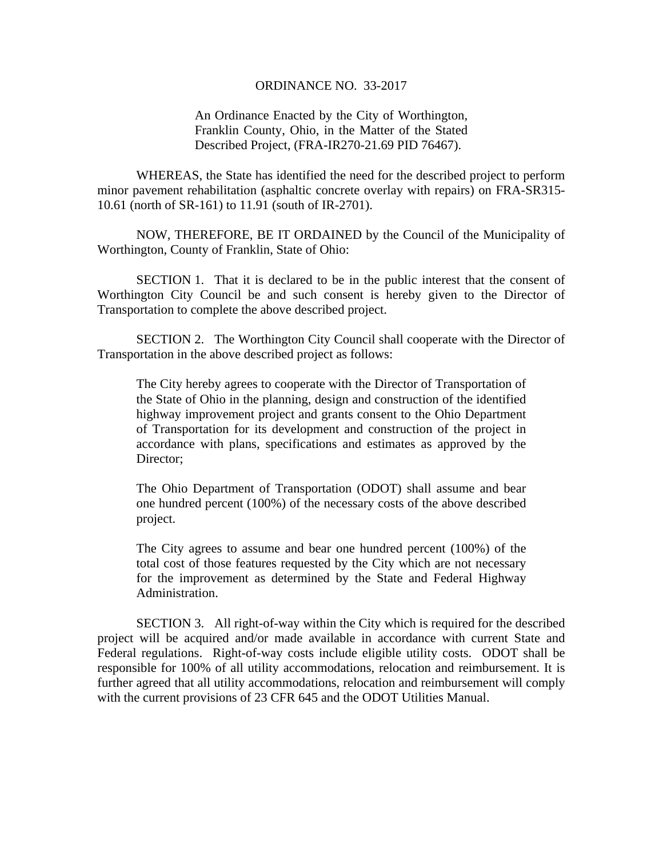## ORDINANCE NO. 33-2017

## An Ordinance Enacted by the City of Worthington, Franklin County, Ohio, in the Matter of the Stated Described Project, (FRA-IR270-21.69 PID 76467).

WHEREAS, the State has identified the need for the described project to perform minor pavement rehabilitation (asphaltic concrete overlay with repairs) on FRA-SR315- 10.61 (north of SR-161) to 11.91 (south of IR-2701).

 NOW, THEREFORE, BE IT ORDAINED by the Council of the Municipality of Worthington, County of Franklin, State of Ohio:

SECTION 1. That it is declared to be in the public interest that the consent of Worthington City Council be and such consent is hereby given to the Director of Transportation to complete the above described project.

 SECTION 2. The Worthington City Council shall cooperate with the Director of Transportation in the above described project as follows:

The City hereby agrees to cooperate with the Director of Transportation of the State of Ohio in the planning, design and construction of the identified highway improvement project and grants consent to the Ohio Department of Transportation for its development and construction of the project in accordance with plans, specifications and estimates as approved by the Director;

The Ohio Department of Transportation (ODOT) shall assume and bear one hundred percent (100%) of the necessary costs of the above described project.

The City agrees to assume and bear one hundred percent (100%) of the total cost of those features requested by the City which are not necessary for the improvement as determined by the State and Federal Highway Administration.

 SECTION 3. All right-of-way within the City which is required for the described project will be acquired and/or made available in accordance with current State and Federal regulations. Right-of-way costs include eligible utility costs. ODOT shall be responsible for 100% of all utility accommodations, relocation and reimbursement. It is further agreed that all utility accommodations, relocation and reimbursement will comply with the current provisions of 23 CFR 645 and the ODOT Utilities Manual.